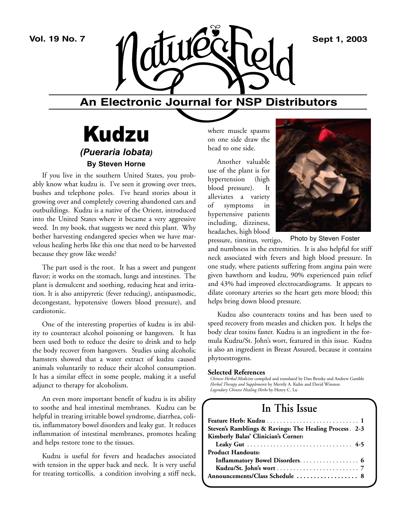

### **An Electronic Journal for NSP Distributors**

## Kudzu *(Pueraria lobata)* **By Steven Horne**

If you live in the southern United States, you probably know what kudzu is. I've seen it growing over trees, bushes and telephone poles. I've heard stories about it growing over and completely covering abandoned cars and outbuildings. Kudzu is a native of the Orient, introduced into the United States where it became a very aggressive weed. In my book, that suggests we need this plant. Why bother harvesting endangered species when we have marvelous healing herbs like this one that need to be harvested because they grow like weeds?

The part used is the root. It has a sweet and pungent flavor; it works on the stomach, lungs and intestines. The plant is demulcent and soothing, reducing heat and irritation. It is also antipyretic (fever reducing), antispasmodic, decongestant, hypotensive (lowers blood pressure), and cardiotonic.

One of the interesting properties of kudzu is its ability to counteract alcohol poisoning or hangovers. It has been used both to reduce the desire to drink and to help the body recover from hangovers. Studies using alcoholic hamsters showed that a water extract of kudzu caused animals voluntarily to reduce their alcohol consumption. It has a similar effect in some people, making it a useful adjunct to therapy for alcoholism.

An even more important benefit of kudzu is its ability to soothe and heal intestinal membranes. Kudzu can be helpful in treating irritable bowel syndrome, diarrhea, colitis, inflammatory bowel disorders and leaky gut. It reduces inflammation of intestinal membranes, promotes healing and helps restore tone to the tissues.

Kudzu is useful for fevers and headaches associated with tension in the upper back and neck. It is very useful for treating torticollis, a condition involving a stiff neck,

where muscle spasms on one side draw the head to one side.

Another valuable use of the plant is for hypertension (high blood pressure). It alleviates a variety of symptoms in hypertensive patients including, dizziness, headaches, high blood



Photo by Steven Foster

pressure, tinnitus, vertigo, and numbness in the extremities. It is also helpful for stiff neck associated with fevers and high blood pressure. In one study, where patients suffering from angina pain were given hawthorn and kudzu, 90% experienced pain relief and 43% had improved electrocardiograms. It appears to dilate coronary arteries so the heart gets more blood; this helps bring down blood pressure.

Kudzu also counteracts toxins and has been used to speed recovery from measles and chicken pox. It helps the body clear toxins faster. Kudzu is an ingredient in the formula Kudzu/St. John's wort, featured in this issue. Kudzu is also an ingredient in Breast Assured, because it contains phytoestrogens.

#### **Selected References**

*Chinese Herbal Medicine* compiled and translated by Dan Bensky and Andrew Gamble *Herbal Therapy and Supplements* by Merrily A. Kuhn and David Winston *Legendary Chinese Healing Herbs* by Henry C. Lu

### **In This Issue**

| Steven's Ramblings & Ravings: The Healing Process. 2-3 |
|--------------------------------------------------------|
| Kimberly Balas' Clinician's Corner:                    |
|                                                        |
| <b>Product Handouts:</b>                               |
|                                                        |
|                                                        |
| Announcements/Class Schedule  8                        |
|                                                        |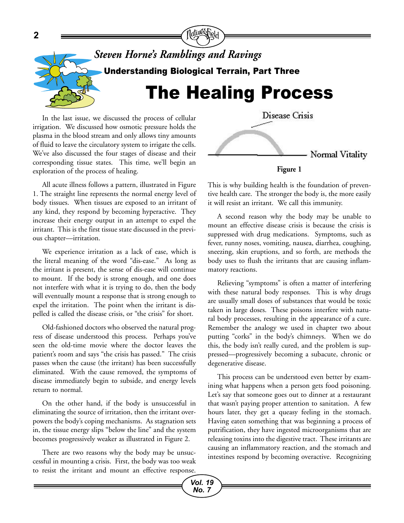

In the last issue, we discussed the process of cellular irrigation. We discussed how osmotic pressure holds the plasma in the blood stream and only allows tiny amounts of fluid to leave the circulatory system to irrigate the cells. We've also discussed the four stages of disease and their corresponding tissue states. This time, we'll begin an exploration of the process of healing.

All acute illness follows a pattern, illustrated in Figure 1. The straight line represents the normal energy level of body tissues. When tissues are exposed to an irritant of any kind, they respond by becoming hyperactive. They increase their energy output in an attempt to expel the irritant. This is the first tissue state discussed in the previous chapter—irritation.

We experience irritation as a lack of ease, which is the literal meaning of the word "dis-ease." As long as the irritant is present, the sense of dis-ease will continue to mount. If the body is strong enough, and one does not interfere with what it is trying to do, then the body will eventually mount a response that is strong enough to expel the irritation. The point when the irritant is dispelled is called the disease crisis, or "the crisis" for short.

Old-fashioned doctors who observed the natural progress of disease understood this process. Perhaps you've seen the old-time movie where the doctor leaves the patient's room and says "the crisis has passed." The crisis passes when the cause (the irritant) has been successfully eliminated. With the cause removed, the symptoms of disease immediately begin to subside, and energy levels return to normal.

On the other hand, if the body is unsuccessful in eliminating the source of irritation, then the irritant overpowers the body's coping mechanisms. As stagnation sets in, the tissue energy slips "below the line" and the system becomes progressively weaker as illustrated in Figure 2.

There are two reasons why the body may be unsuccessful in mounting a crisis. First, the body was too weak to resist the irritant and mount an effective response.



**Figure 1**

This is why building health is the foundation of preventive health care. The stronger the body is, the more easily it will resist an irritant. We call this immunity.

A second reason why the body may be unable to mount an effective disease crisis is because the crisis is suppressed with drug medications. Symptoms, such as fever, runny noses, vomiting, nausea, diarrhea, coughing, sneezing, skin eruptions, and so forth, are methods the body uses to flush the irritants that are causing inflammatory reactions.

Relieving "symptoms" is often a matter of interfering with these natural body responses. This is why drugs are usually small doses of substances that would be toxic taken in large doses. These poisons interfere with natural body processes, resulting in the appearance of a cure. Remember the analogy we used in chapter two about putting "corks" in the body's chimneys. When we do this, the body isn't really cured, and the problem is suppressed—progressively becoming a subacute, chronic or degenerative disease.

This process can be understood even better by examining what happens when a person gets food poisoning. Let's say that someone goes out to dinner at a restaurant that wasn't paying proper attention to sanitation. A few hours later, they get a queasy feeling in the stomach. Having eaten something that was beginning a process of putrification, they have ingested microorganisms that are releasing toxins into the digestive tract. These irritants are causing an inflammatory reaction, and the stomach and intestines respond by becoming overactive. Recognizing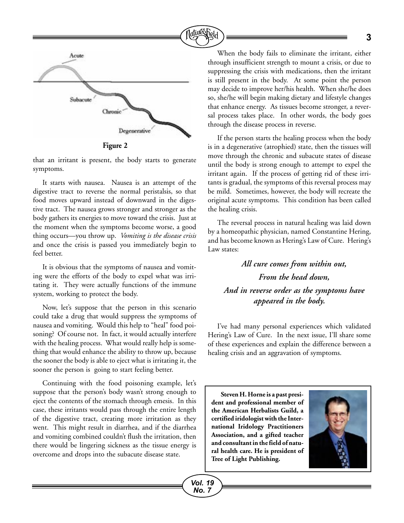

**Figure 2**

that an irritant is present, the body starts to generate symptoms.

It starts with nausea. Nausea is an attempt of the digestive tract to reverse the normal peristalsis, so that food moves upward instead of downward in the digestive tract. The nausea grows stronger and stronger as the body gathers its energies to move toward the crisis. Just at the moment when the symptoms become worse, a good thing occurs—you throw up. *Vomiting is the disease crisis* and once the crisis is passed you immediately begin to feel better.

It is obvious that the symptoms of nausea and vomiting were the efforts of the body to expel what was irritating it. They were actually functions of the immune system, working to protect the body.

Now, let's suppose that the person in this scenario could take a drug that would suppress the symptoms of nausea and vomiting. Would this help to "heal" food poisoning? Of course not. In fact, it would actually interfere with the healing process. What would really help is something that would enhance the ability to throw up, because the sooner the body is able to eject what is irritating it, the sooner the person is going to start feeling better.

Continuing with the food poisoning example, let's suppose that the person's body wasn't strong enough to eject the contents of the stomach through emesis. In this case, these irritants would pass through the entire length of the digestive tract, creating more irritation as they went. This might result in diarrhea, and if the diarrhea and vomiting combined couldn't flush the irritation, then there would be lingering sickness as the tissue energy is overcome and drops into the subacute disease state.

When the body fails to eliminate the irritant, either through insufficient strength to mount a crisis, or due to suppressing the crisis with medications, then the irritant is still present in the body. At some point the person may decide to improve her/his health. When she/he does so, she/he will begin making dietary and lifestyle changes that enhance energy. As tissues become stronger, a reversal process takes place. In other words, the body goes through the disease process in reverse.

If the person starts the healing process when the body is in a degenerative (atrophied) state, then the tissues will move through the chronic and subacute states of disease until the body is strong enough to attempt to expel the irritant again. If the process of getting rid of these irritants is gradual, the symptoms of this reversal process may be mild. Sometimes, however, the body will recreate the original acute symptoms. This condition has been called the healing crisis.

The reversal process in natural healing was laid down by a homeopathic physician, named Constantine Hering, and has become known as Hering's Law of Cure. Hering's Law states:

### *All cure comes from within out, From the head down, And in reverse order as the symptoms have appeared in the body.*

I've had many personal experiences which validated Hering's Law of Cure. In the next issue, I'll share some of these experiences and explain the difference between a healing crisis and an aggravation of symptoms.

**Steven H. Horne is a past president and professional member of the American Herbalists Guild, a certified iridologist with the International Iridology Practitioners Association, and a gifted teacher and consultant in the field of natural health care. He is president of Tree of Light Publishing.**

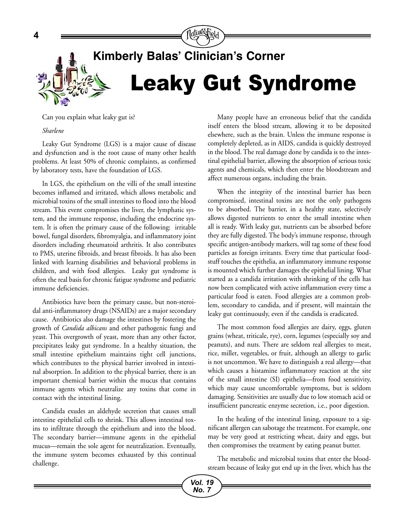

Can you explain what leaky gut is?

#### *Sharlene*

Leaky Gut Syndrome (LGS) is a major cause of disease and dysfunction and is the root cause of many other health problems. At least 50% of chronic complaints, as confirmed by laboratory tests, have the foundation of LGS.

In LGS, the epithelium on the villi of the small intestine becomes inflamed and irritated, which allows metabolic and microbial toxins of the small intestines to flood into the blood stream. This event compromises the liver, the lymphatic system, and the immune response, including the endocrine system. It is often the primary cause of the following: irritable bowel, fungal disorders, fibromyalgia, and inflammatory joint disorders including rheumatoid arthritis. It also contributes to PMS, uterine fibroids, and breast fibroids. It has also been linked with learning disabilities and behavioral problems in children, and with food allergies. Leaky gut syndrome is often the real basis for chronic fatigue syndrome and pediatric immune deficiencies.

Antibiotics have been the primary cause, but non-steroidal anti-inflammatory drugs (NSAIDs) are a major secondary cause. Antibiotics also damage the intestines by fostering the growth of *Candida albicans* and other pathogenic fungi and yeast. This overgrowth of yeast, more than any other factor, precipitates leaky gut syndrome. In a healthy situation, the small intestine epithelium maintains tight cell junctions, which contributes to the physical barrier involved in intestinal absorption. In addition to the physical barrier, there is an important chemical barrier within the mucus that contains immune agents which neutralize any toxins that come in contact with the intestinal lining.

Candida exudes an aldehyde secretion that causes small intestine epithelial cells to shrink. This allows intestinal toxins to infiltrate through the epithelium and into the blood. The secondary barrier—immune agents in the epithelial mucus—remain the sole agent for neutralization. Eventually, the immune system becomes exhausted by this continual challenge.

Many people have an erroneous belief that the candida itself enters the blood stream, allowing it to be deposited elsewhere, such as the brain. Unless the immune response is completely depleted, as in AIDS, candida is quickly destroyed in the blood. The real damage done by candida is to the intestinal epithelial barrier, allowing the absorption of serious toxic agents and chemicals, which then enter the bloodstream and affect numerous organs, including the brain.

When the integrity of the intestinal barrier has been compromised, intestinal toxins are not the only pathogens to be absorbed. The barrier, in a healthy state, selectively allows digested nutrients to enter the small intestine when all is ready. With leaky gut, nutrients can be absorbed before they are fully digested. The body's immune response, through specific antigen-antibody markers, will tag some of these food particles as foreign irritants. Every time that particular foodstuff touches the epithelia, an inflammatory immune response is mounted which further damages the epithelial lining. What started as a candida irritation with shrinking of the cells has now been complicated with active inflammation every time a particular food is eaten. Food allergies are a common problem, secondary to candida, and if present, will maintain the leaky gut continuously, even if the candida is eradicated.

The most common food allergies are dairy, eggs, gluten grains (wheat, triticale, rye), corn, legumes (especially soy and peanuts), and nuts. There are seldom real allergies to meat, rice, millet, vegetables, or fruit, although an allergy to garlic is not uncommon. We have to distinguish a real allergy—that which causes a histamine inflammatory reaction at the site of the small intestine (SI) epithelia—from food sensitivity, which may cause uncomfortable symptoms, but is seldom damaging. Sensitivities are usually due to low stomach acid or insufficient pancreatic enzyme secretion, i.e., poor digestion.

In the healing of the intestinal lining, exposure to a significant allergen can sabotage the treatment. For example, one may be very good at restricting wheat, dairy and eggs, but then compromises the treatment by eating peanut butter.

The metabolic and microbial toxins that enter the bloodstream because of leaky gut end up in the liver, which has the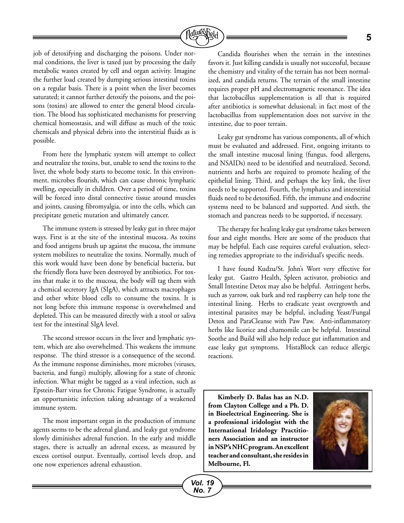

job of detoxifying and discharging the poisons. Under normal conditions, the liver is taxed just by processing the daily metabolic wastes created by cell and organ activity. Imagine the further load created by dumping serious intestinal toxins on a regular basis. There is a point when the liver becomes saturated; it cannot further detoxify the poisons, and the poisons (toxins) are allowed to enter the general blood circulation. The blood has sophisticated mechanisms for preserving chemical homeostasis, and will diffuse as much of the toxic chemicals and physical debris into the interstitial fluids as is possible.

From here the lymphatic system will attempt to collect and neutralize the toxins, but, unable to send the toxins to the liver, the whole body starts to become toxic. In this environment, microbes flourish, which can cause chronic lymphatic swelling, especially in children. Over a period of time, toxins will be forced into distal connective tissue around muscles and joints, causing fibromyalgia, or into the cells, which can precipitate genetic mutation and ultimately cancer.

The immune system is stressed by leaky gut in three major ways. First is at the site of the intestinal mucosa. As toxins and food antigens brush up against the mucosa, the immune system mobilizes to neutralize the toxins. Normally, much of this work would have been done by beneficial bacteria, but the friendly flora have been destroyed by antibiotics. For toxins that make it to the mucosa, the body will tag them with a chemical secretory IgA (SIgA), which attracts macrophages and other white blood cells to consume the toxins. It is not long before this immune response is overwhelmed and depleted. This can be measured directly with a stool or saliva test for the intestinal SIgA level.

The second stressor occurs in the liver and lymphatic system, which are also overwhelmed. This weakens the immune response. The third stressor is a consequence of the second. As the immune response diminishes, more microbes (viruses, bacteria, and fungi) multiply, allowing for a state of chronic infection. What might be tagged as a viral infection, such as Epstein-Barr virus for Chronic Fatigue Syndrome, is actually an opportunistic infection taking advantage of a weakened immune system.

The most important organ in the production of immune agents seems to be the adrenal gland, and leaky gut syndrome slowly diminishes adrenal function. In the early and middle stages, there is actually an adrenal excess, as measured by excess cortisol output. Eventually, cortisol levels drop, and one now experiences adrenal exhaustion.

Candida flourishes when the terrain in the intestines favors it. Just killing candida is usually not successful, because the chemistry and vitality of the terrain has not been normalized, and candida returns. The terrain of the small intestine requires proper pH and electromagnetic resonance. The idea that lactobacillus supplementation is all that is required after antibiotics is somewhat delusional; in fact most of the lactobacillus from supplementation does not survive in the intestine, due to poor terrain.

Leaky gut syndrome has various components, all of which must be evaluated and addressed. First, ongoing irritants to the small intestine mucosal lining (fungus, food allergens, and NSAIDs) need to be identified and neutralized. Second, nutrients and herbs are required to promote healing of the epithelial lining. Third, and perhaps the key link, the liver needs to be supported. Fourth, the lymphatics and interstitial fluids need to be detoxified. Fifth, the immune and endocrine systems need to be balanced and supported. And sixth, the stomach and pancreas needs to be supported, if necessary.

The therapy for healing leaky gut syndrome takes between four and eight months. Here are some of the products that may be helpful. Each case requires careful evaluation, selecting remedies appropriate to the individual's specific needs.

I have found Kudzu/St. John's Wort very effective for leaky gut. Gastro Health, Spleen activator, probiotics and Small Intestine Detox may also be helpful. Astringent herbs, such as yarrow, oak bark and red raspberry can help tone the intestinal lining. Herbs to eradicate yeast overgrowth and intestinal parasites may be helpful, including Yeast/Fungal Detox and ParaCleanse with Paw Paw. Anti-inflammatory herbs like licorice and chamomile can be helpful. Intestinal Soothe and Build will also help reduce gut inflammation and ease leaky gut symptoms. HistaBlock can reduce allergic reactions.

**Kimberly D. Balas has an N.D. from Clayton College and a Ph. D. in Bioelectrical Engineering. She is a professional iridologist with the International Iridology Practitioners Association and an instructor in NSP's NHC program.An excellent teacher and consultant, she resides in Melbourne, Fl.**

*Vol. 19 No. 7*

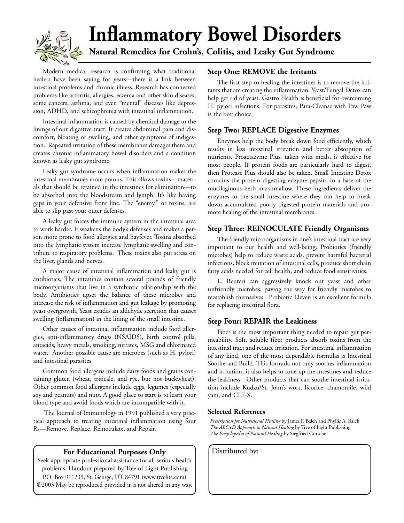

# **Inflammatory Bowel Disorders**

**Natural Remedies for Crohn's, Colitis, and Leaky Gut Syndrome**

Modern medical research is confirming what traditional healers have been saying for years—there is a link between intestinal problems and chronic illness. Research has connected problems like arthritis, allergies, eczema and other skin diseases, some cancers, asthma, and even "mental" diseases like depression, ADHD, and schizophrenia with intestinal inflammation.

Intestinal inflammation is caused by chemical damage to the linings of our digestive tract. It creates abdominal pain and discomfort, bloating or swelling, and other symptoms of indigestion. Repeated irritation of these membranes damages them and creates chronic inflammatory bowel disorders and a condition known as leaky gut syndrome.

Leaky gut syndrome occurs when inflammation makes the intestinal membranes more porous. This allows toxins—materials that should be retained in the intestines for elimination—to be absorbed into the bloodstream and lymph. It's like having gaps in your defensive front line. The "enemy," or toxins, are able to slip past your outer defenses.

A leaky gut forces the immune system in the intestinal area to work harder. It weakens the body's defenses and makes a person more prone to food allergies and hayfever. Toxins absorbed into the lymphatic system increase lymphatic swelling and contribute to respiratory problems. These toxins also put stress on the liver, glands and nerves.

A major cause of intestinal inflammation and leaky gut is antibiotics. The intestines contain several pounds of friendly microorganisms that live in a symbiotic relationship with the body. Antibiotics upset the balance of these microbes and increase the risk of inflammation and gut leakage by promoting yeast overgrowth. Yeast exudes an aldehyde secretion that causes swelling (inflammation) in the lining of the small intestine.

Other causes of intestinal inflammation include food allergies, anti-inflammatory drugs (NSAIDS), birth control pills, antacids, heavy metals, smoking, nitrates, MSG and chlorinated water. Another possible cause are microbes (such as H. pylori) and intestinal parasites.

Common food allergens include dairy foods and grains containing gluten (wheat, triticale, and rye, but not buckwheat). Other common food allergens include eggs, legumes (especially soy and peanuts) and nuts. A good place to start is to learn your blood type and avoid foods which are incompatible with it.

 The Journal of Immunology in 1991 published a very practical approach to treating intestinal inflammation using four Rs—Remove, Replace, Reinoculate, and Repair.

#### **For Educational Purposes Only** | Distributed by:

Seek appropriate professional assistance for all serious health problems. Handout prepared by Tree of Light Publishing P.O. Box 911239, St. George, UT 84791 (www.treelite.com) ©2003 May be reproduced provided it is not altered in any way.

#### **Step One: REMOVE the Irritants**

The first step to healing the intestines is to remove the irritants that are creating the inflammation. Yeast/Fungal Detox can help get rid of yeast. Gastro Health is beneficial for overcoming H. pylori infections. For parasites, Para-Cleanse with Paw Paw is the best choice.

#### **Step Two: REPLACE Digestive Enzymes**

Enzymes help the body break down food efficiently, which results in less intestinal irritation and better absorption of nutrients. Proactazyme Plus, taken with meals, is effective for most people. If protein foods are particularly hard to digest, then Protease Plus should also be taken. Small Intestine Detox contains the protein digesting enzyme pepsin, in a base of the mucilaginous herb marshmallow. These ingredients deliver the enzymes to the small intestine where they can help to break down accumulated poorly digested protein materials and promote healing of the intestinal membranes.

#### **Step Three: REINOCULATE Friendly Organisms**

The friendly microorganisms in one's intestinal tract are very important to our health and well-being. Probiotics (friendly microbes) help to reduce waste acids, prevent harmful bacterial infections, block mutation of intestinal cells, produce short chain fatty acids needed for cell health, and reduce food sensitivities.

L. Reuteri can aggressively knock out yeast and other unfriendly microbes, paving the way for friendly microbes to reestablish themselves. Probiotic Eleven is an excellent formula for replacing intestinal flora.

#### **Step Four: REPAIR the Leakiness**

Fiber is the most important thing needed to repair gut permeability. Soft, soluble fiber products absorb toxins from the intestinal tract and reduce irritation. For intestinal inflammation of any kind, one of the most dependable formulas is Intestinal Soothe and Build. This formula not only soothes inflammation and irritation, it also helps to tone up the intestines and reduce the leakiness. Other products that can soothe intestinal irritation include Kudzu/St. John's wort, licorice, chamomile, wild yam, and CLT-X.

#### **Selected References**

*Prescription for Nutritional Healing* by James F. Balch and Phyllis A. Balch *The ABC+D Approach to Natural Healing* by Tree of Light Publishing *The Encyclopedia of Natural Healing* by Siegfried Gursche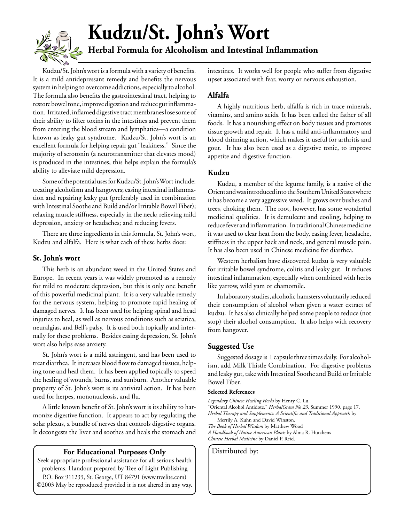

## **Kudzu/St. John's Wort Herbal Formula for Alcoholism and Intestinal Inflammation**

Kudzu/St. John's wort is a formula with a variety of benefits. It is a mild antidepressant remedy and benefits the nervous system in helping to overcome addictions, especially to alcohol. The formula also benefits the gastrointestinal tract, helping to restore bowel tone, improve digestion and reduce gut inflammation. Irritated, inflamed digestive tract membranes lose some of their ability to filter toxins in the intestines and prevent them from entering the blood stream and lymphatics—a condition known as leaky gut syndrome. Kudzu/St. John's wort is an excellent formula for helping repair gut "leakiness." Since the majority of serotonin (a neurotransmitter that elevates mood) is produced in the intestines, this helps explain the formula's ability to alleviate mild depression.

Some of the potential uses for Kudzu/St. John's Wort include: treating alcoholism and hangovers; easing intestinal inflammation and repairing leaky gut (preferably used in combination with Intestinal Soothe and Build and/or Irritable Bowel Fiber); relaxing muscle stiffness, especially in the neck; relieving mild depression, anxiety or headaches; and reducing fevers.

There are three ingredients in this formula, St. John's wort, Kudzu and alfalfa. Here is what each of these herbs does:

#### **St. John's wort**

This herb is an abundant weed in the United States and Europe. In recent years it was widely promoted as a remedy for mild to moderate depression, but this is only one benefit of this powerful medicinal plant. It is a very valuable remedy for the nervous system, helping to promote rapid healing of damaged nerves. It has been used for helping spinal and head injuries to heal, as well as nervous conditions such as sciatica, neuralgias, and Bell's palsy. It is used both topically and internally for these problems. Besides easing depression, St. John's wort also helps ease anxiety.

St. John's wort is a mild astringent, and has been used to treat diarrhea. It increases blood flow to damaged tissues, helping tone and heal them. It has been applied topically to speed the healing of wounds, burns, and sunburn. Another valuable property of St. John's wort is its antiviral action. It has been used for herpes, mononucleosis, and flu.

A little known benefit of St. John's wort is its ability to harmonize digestive function. It appears to act by regulating the solar plexus, a bundle of nerves that controls digestive organs. It decongests the liver and soothes and heals the stomach and

#### **For Educational Purposes Only** | Distributed by:

Seek appropriate professional assistance for all serious health problems. Handout prepared by Tree of Light Publishing P.O. Box 911239, St. George, UT 84791 (www.treelite.com) ©2003 May be reproduced provided it is not altered in any way. intestines. It works well for people who suffer from digestive upset associated with fear, worry or nervous exhaustion.

#### **Alfalfa**

A highly nutritious herb, alfalfa is rich in trace minerals, vitamins, and amino acids. It has been called the father of all foods. It has a nourishing effect on body tissues and promotes tissue growth and repair. It has a mild anti-inflammatory and blood thinning action, which makes it useful for arthritis and gout. It has also been used as a digestive tonic, to improve appetite and digestive function.

#### **Kudzu**

Kudzu, a member of the legume family, is a native of the Orient and was introduced into the Southern United States where it has become a very aggressive weed. It grows over bushes and trees, choking them. The root, however, has some wonderful medicinal qualities. It is demulcent and cooling, helping to reduce fever and inflammation. In traditional Chinese medicine it was used to clear heat from the body, easing fever, headache, stiffness in the upper back and neck, and general muscle pain. It has also been used in Chinese medicine for diarrhea.

Western herbalists have discovered kudzu is very valuable for irritable bowel syndrome, colitis and leaky gut. It reduces intestinal inflammation, especially when combined with herbs like yarrow, wild yam or chamomile.

In laboratory studies, alcoholic hamsters voluntarily reduced their consumption of alcohol when given a water extract of kudzu. It has also clinically helped some people to reduce (not stop) their alcohol consumption. It also helps with recovery from hangover.

#### **Suggested Use**

Suggested dosage is 1 capsule three times daily. For alcoholism, add Milk Thistle Combination. For digestive problems and leaky gut, take with Intestinal Soothe and Build or Irritable Bowel Fiber.

#### **Selected References**

*Legendary Chinese Healing Herbs* by Henry C. Lu. "Oriental Alcohol Antidote," *HerbalGram No 23*, Summer 1990, page 17. *Herbal Therapy and Supplements: A Scientific and Traditional Approach* by Merrily A. Kuhn and David Winston. *The Book of Herbal Wisdom* by Matthew Wood *A Handbook of Native American Plants* by Alma R. Hutchens *Chinese Herbal Medicine* by Daniel P. Reid.